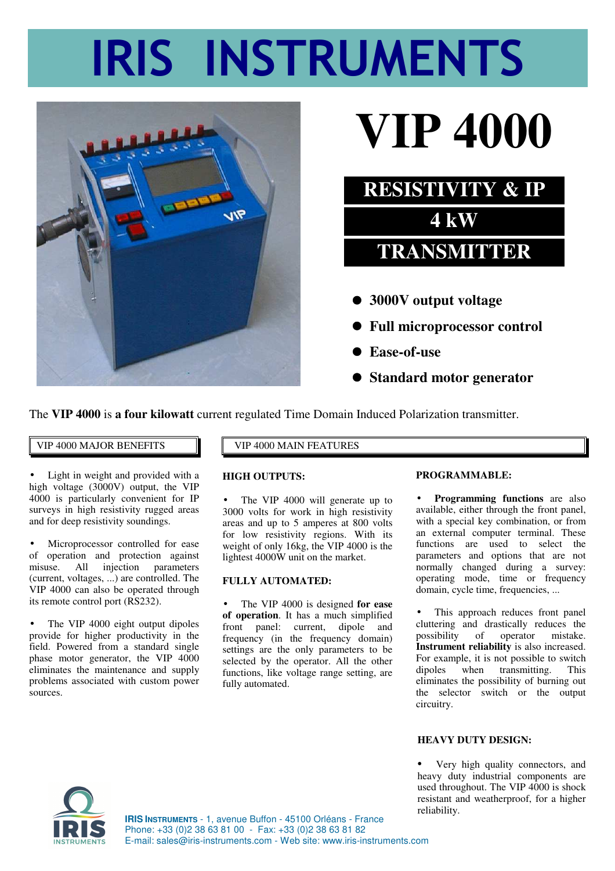# **IRIS INSTRUMENTS**



## **VIP 4000**



 **Standard motor generator**

The **VIP 4000** is **a four kilowatt** current regulated Time Domain Induced Polarization transmitter.

#### VIP 4000 MAJOR BENEFITS  $\|\cdot\|$  VIP 4000 MAIN FEATURES

Light in weight and provided with a high voltage (3000V) output, the VIP 4000 is particularly convenient for IP surveys in high resistivity rugged areas and for deep resistivity soundings.

Microprocessor controlled for ease of operation and protection against misuse. All injection parameters (current, voltages, ...) are controlled. The VIP 4000 can also be operated through its remote control port (RS232).

• The VIP 4000 eight output dipoles provide for higher productivity in the field. Powered from a standard single phase motor generator, the VIP 4000 eliminates the maintenance and supply problems associated with custom power sources.

#### **HIGH OUTPUTS:**

• The VIP 4000 will generate up to 3000 volts for work in high resistivity areas and up to 5 amperes at 800 volts for low resistivity regions. With its weight of only 16kg, the VIP 4000 is the lightest 4000W unit on the market.

#### **FULLY AUTOMATED:**

• The VIP 4000 is designed **for ease of operation**. It has a much simplified front panel: current, dipole and frequency (in the frequency domain) settings are the only parameters to be selected by the operator. All the other functions, like voltage range setting, are fully automated.

#### **PROGRAMMABLE:**

• **Programming functions** are also available, either through the front panel, with a special key combination, or from an external computer terminal. These functions are used to select the parameters and options that are not normally changed during a survey: operating mode, time or frequency domain, cycle time, frequencies, ...

This approach reduces front panel cluttering and drastically reduces the possibility of operator mistake. **Instrument reliability** is also increased. For example, it is not possible to switch dipoles when transmitting. This eliminates the possibility of burning out the selector switch or the output circuitry.

#### **HEAVY DUTY DESIGN:**

Very high quality connectors, and heavy duty industrial components are used throughout. The VIP 4000 is shock resistant and weatherproof, for a higher reliability.